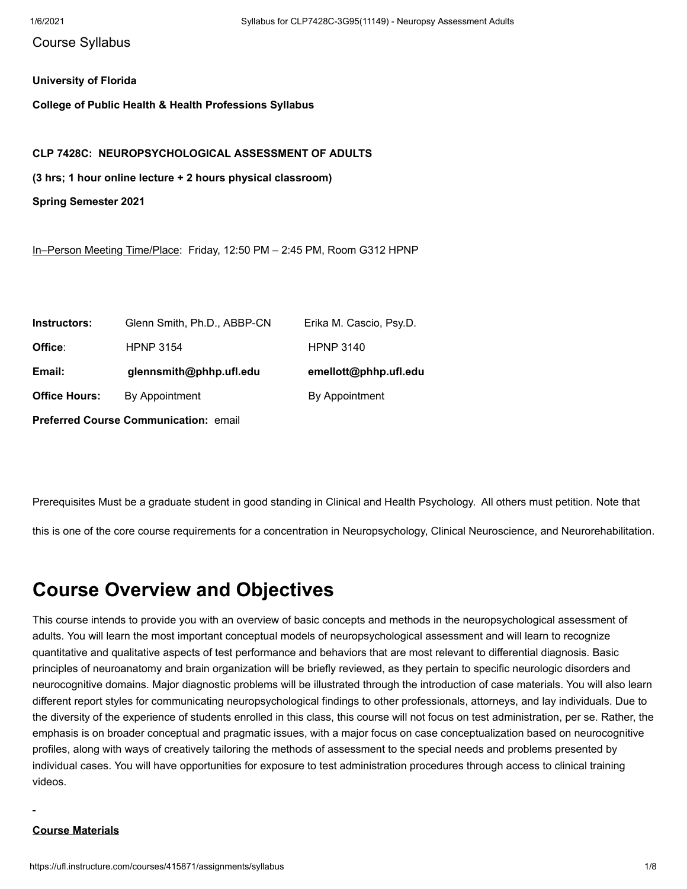## Course Syllabus

## **University of Florida**

**College of Public Health & Health Professions Syllabus**

## **CLP 7428C: NEUROPSYCHOLOGICAL ASSESSMENT OF ADULTS**

**(3 hrs; 1 hour online lecture + 2 hours physical classroom)** 

**Spring Semester 2021**

In–Person Meeting Time/Place: Friday, 12:50 PM – 2:45 PM, Room G312 HPNP

| Instructors:         | Glenn Smith, Ph.D., ABBP-CN | Erika M. Cascio, Psy.D. |
|----------------------|-----------------------------|-------------------------|
| Office:              | <b>HPNP 3154</b>            | <b>HPNP 3140</b>        |
| Email:               | glennsmith@phhp.ufl.edu     | emellott@phhp.ufl.edu   |
| <b>Office Hours:</b> | By Appointment              | By Appointment          |
|                      |                             |                         |

**Preferred Course Communication:** email

Prerequisites Must be a graduate student in good standing in Clinical and Health Psychology. All others must petition. Note that

this is one of the core course requirements for a concentration in Neuropsychology, Clinical Neuroscience, and Neurorehabilitation.

## **Course Overview and Objectives**

This course intends to provide you with an overview of basic concepts and methods in the neuropsychological assessment of adults. You will learn the most important conceptual models of neuropsychological assessment and will learn to recognize quantitative and qualitative aspects of test performance and behaviors that are most relevant to differential diagnosis. Basic principles of neuroanatomy and brain organization will be briefly reviewed, as they pertain to specific neurologic disorders and neurocognitive domains. Major diagnostic problems will be illustrated through the introduction of case materials. You will also learn different report styles for communicating neuropsychological findings to other professionals, attorneys, and lay individuals. Due to the diversity of the experience of students enrolled in this class, this course will not focus on test administration, per se. Rather, the emphasis is on broader conceptual and pragmatic issues, with a major focus on case conceptualization based on neurocognitive profiles, along with ways of creatively tailoring the methods of assessment to the special needs and problems presented by individual cases. You will have opportunities for exposure to test administration procedures through access to clinical training videos.

## **Course Materials**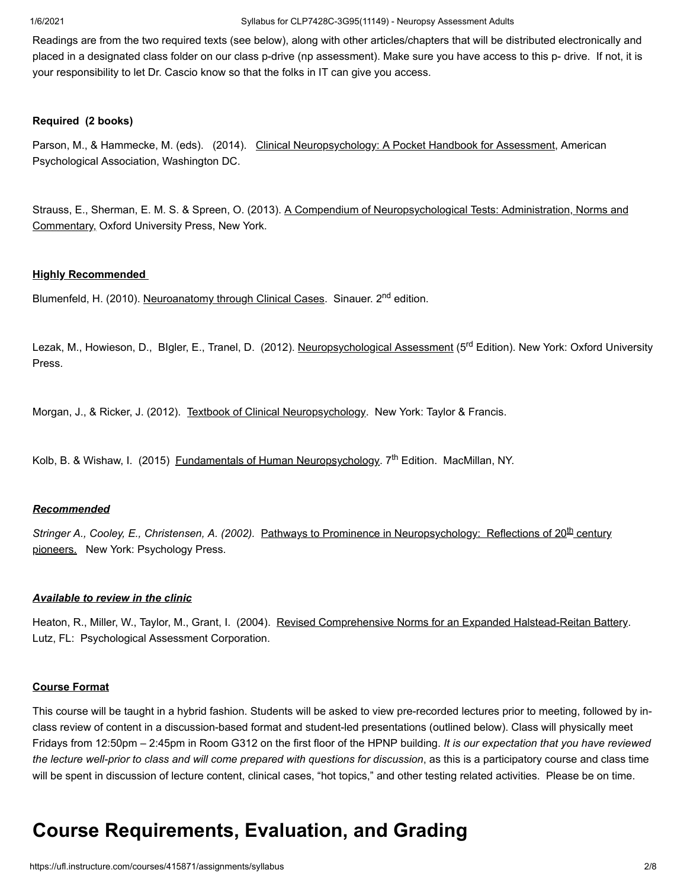1/6/2021 Syllabus for CLP7428C-3G95(11149) - Neuropsy Assessment Adults

Readings are from the two required texts (see below), along with other articles/chapters that will be distributed electronically and placed in a designated class folder on our class p-drive (np assessment). Make sure you have access to this p- drive. If not, it is your responsibility to let Dr. Cascio know so that the folks in IT can give you access.

## **Required (2 books)**

Parson, M., & Hammecke, M. (eds). (2014). Clinical Neuropsychology: A Pocket Handbook for Assessment, American Psychological Association, Washington DC.

Strauss, E., Sherman, E. M. S. & Spreen, O. (2013). A Compendium of Neuropsychological Tests: Administration, Norms and Commentary, Oxford University Press, New York.

## **Highly Recommended**

Blumenfeld, H. (2010). Neuroanatomy through Clinical Cases. Sinauer. 2<sup>nd</sup> edition.

Lezak, M., Howieson, D., Blgler, E., Tranel, D. (2012). <u>Neuropsychological Assessment</u> (5<sup>rd</sup> Edition). New York: Oxford University Press.

Morgan, J., & Ricker, J. (2012). Textbook of Clinical Neuropsychology. New York: Taylor & Francis.

Kolb, B. & Wishaw, I. (2015) Eundamentals of Human Neuropsychology. 7<sup>th</sup> Edition. MacMillan, NY.

## *Recommended*

Stringer A., Cooley, E., Christensen, A. (2002). Pathways to Prominence in Neuropsychology: Reflections of 20<sup>th</sup> century pioneers. New York: Psychology Press.

## *Available to review in the clinic*

Heaton, R., Miller, W., Taylor, M., Grant, I. (2004). Revised Comprehensive Norms for an Expanded Halstead-Reitan Battery. Lutz, FL: Psychological Assessment Corporation.

## **Course Format**

This course will be taught in a hybrid fashion. Students will be asked to view pre-recorded lectures prior to meeting, followed by inclass review of content in a discussion-based format and student-led presentations (outlined below). Class will physically meet Fridays from 12:50pm – 2:45pm in Room G312 on the first floor of the HPNP building. *It is our expectation that you have reviewed the lecture well-prior to class and will come prepared with questions for discussion*, as this is a participatory course and class time will be spent in discussion of lecture content, clinical cases, "hot topics," and other testing related activities. Please be on time.

# **Course Requirements, Evaluation, and Grading**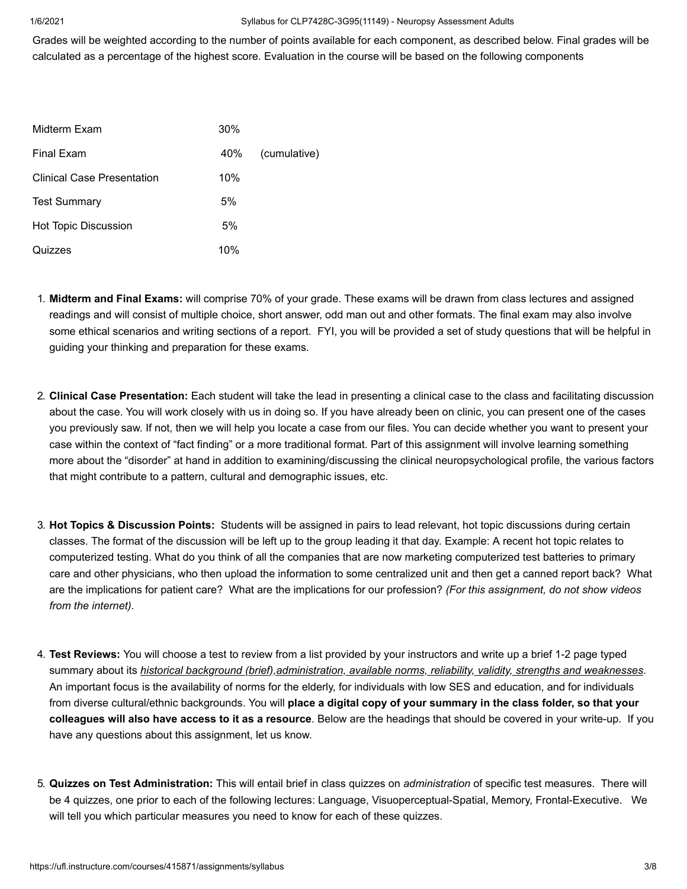### 1/6/2021 Syllabus for CLP7428C-3G95(11149) - Neuropsy Assessment Adults

Grades will be weighted according to the number of points available for each component, as described below. Final grades will be calculated as a percentage of the highest score. Evaluation in the course will be based on the following components

| Midterm Exam                | 30% |              |
|-----------------------------|-----|--------------|
| Final Exam                  | 40% | (cumulative) |
| Clinical Case Presentation  | 10% |              |
| <b>Test Summary</b>         | 5%  |              |
| <b>Hot Topic Discussion</b> | 5%  |              |
| Quizzes                     | 10% |              |

- 1. **Midterm and Final Exams:** will comprise 70% of your grade. These exams will be drawn from class lectures and assigned readings and will consist of multiple choice, short answer, odd man out and other formats. The final exam may also involve some ethical scenarios and writing sections of a report. FYI, you will be provided a set of study questions that will be helpful in guiding your thinking and preparation for these exams.
- 2. **Clinical Case Presentation:** Each student will take the lead in presenting a clinical case to the class and facilitating discussion about the case. You will work closely with us in doing so. If you have already been on clinic, you can present one of the cases you previously saw. If not, then we will help you locate a case from our files. You can decide whether you want to present your case within the context of "fact finding" or a more traditional format. Part of this assignment will involve learning something more about the "disorder" at hand in addition to examining/discussing the clinical neuropsychological profile, the various factors that might contribute to a pattern, cultural and demographic issues, etc.
- 3. **Hot Topics & Discussion Points:** Students will be assigned in pairs to lead relevant, hot topic discussions during certain classes. The format of the discussion will be left up to the group leading it that day. Example: A recent hot topic relates to computerized testing. What do you think of all the companies that are now marketing computerized test batteries to primary care and other physicians, who then upload the information to some centralized unit and then get a canned report back? What are the implications for patient care? What are the implications for our profession? *(For this assignment, do not show videos from the internet).*
- 4. **Test Reviews:** You will choose a test to review from a list provided by your instructors and write up a brief 1-2 page typed summary about its *historical background (brief),administration, available norms, reliability, validity, strengths and weaknesses*. An important focus is the availability of norms for the elderly, for individuals with low SES and education, and for individuals from diverse cultural/ethnic backgrounds. You will **place a digital copy of your summary in the class folder, so that your colleagues will also have access to it as a resource**. Below are the headings that should be covered in your write-up. If you have any questions about this assignment, let us know.
- 5. **Quizzes on Test Administration:** This will entail brief in class quizzes on *administration* of specific test measures. There will be 4 quizzes, one prior to each of the following lectures: Language, Visuoperceptual-Spatial, Memory, Frontal-Executive. We will tell you which particular measures you need to know for each of these quizzes.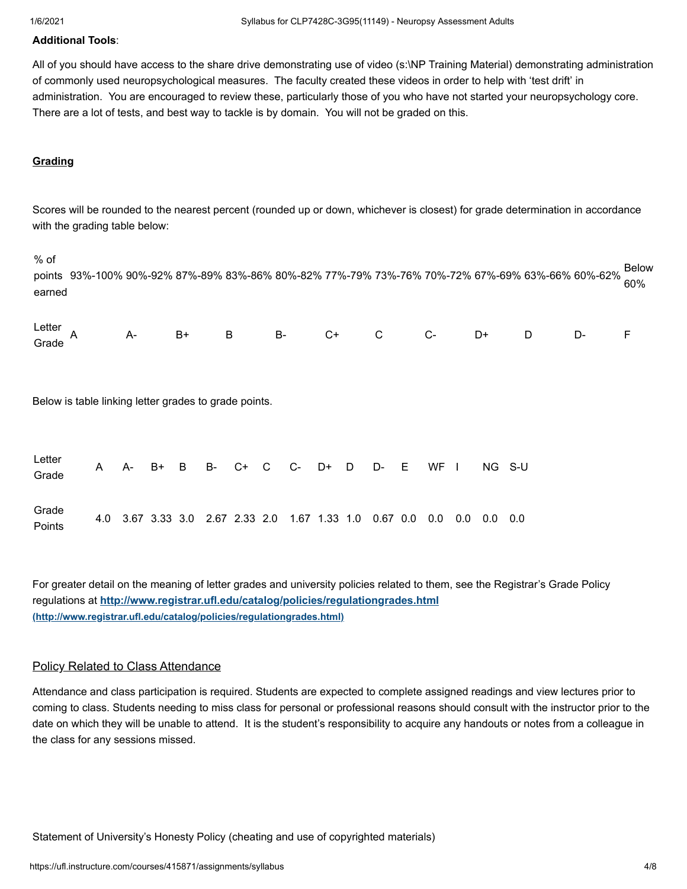## **Additional Tools**:

All of you should have access to the share drive demonstrating use of video (s:\NP Training Material) demonstrating administration of commonly used neuropsychological measures. The faculty created these videos in order to help with 'test drift' in administration. You are encouraged to review these, particularly those of you who have not started your neuropsychology core. There are a lot of tests, and best way to tackle is by domain. You will not be graded on this.

## **Grading**

% of

Scores will be rounded to the nearest percent (rounded up or down, whichever is closest) for grade determination in accordance with the grading table below:

points 93%-100% 90%-92% 87%-89% 83%-86% 80%-82% 77%-79% 73%-76% 70%-72% 67%-69% 63%-66% 60%-62% earned Below 60%

| Letter<br>Grade A - B+ B - B- C+ C - D+ D - D- F |  |  |  |  |  |  |
|--------------------------------------------------|--|--|--|--|--|--|

Below is table linking letter grades to grade points.

| Letter<br>Grade |  |  |  |  |  |                                                                            |  |  | A A- B+ B B- C+ C C- D+ D D- E WF I NG S-U |
|-----------------|--|--|--|--|--|----------------------------------------------------------------------------|--|--|--------------------------------------------|
| Grade<br>Points |  |  |  |  |  | 4.0 3.67 3.33 3.0 2.67 2.33 2.0 1.67 1.33 1.0 0.67 0.0 0.0 0.0 0.0 0.0 0.0 |  |  |                                            |

For greater detail on the meaning of letter grades and university policies related to them, see the Registrar's Grade Policy regulations at **<http://www.registrar.ufl.edu/catalog/policies/regulationgrades.html> (http://www.registrar.ufl.edu/catalog/policies/regulationgrades.html)**

## Policy Related to Class Attendance

Attendance and class participation is required. Students are expected to complete assigned readings and view lectures prior to coming to class. Students needing to miss class for personal or professional reasons should consult with the instructor prior to the date on which they will be unable to attend. It is the student's responsibility to acquire any handouts or notes from a colleague in the class for any sessions missed.

Statement of University's Honesty Policy (cheating and use of copyrighted materials)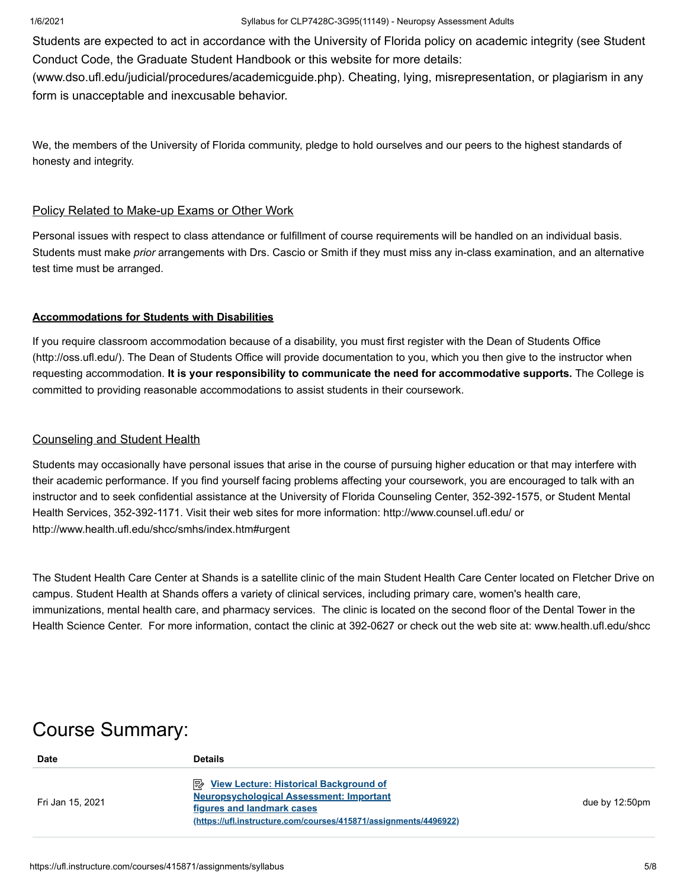Students are expected to act in accordance with the University of Florida policy on academic integrity (see Student Conduct Code, the Graduate Student Handbook or this website for more details:

(www.dso.ufl.edu/judicial/procedures/academicguide.php). Cheating, lying, misrepresentation, or plagiarism in any form is unacceptable and inexcusable behavior.

We, the members of the University of Florida community, pledge to hold ourselves and our peers to the highest standards of honesty and integrity.

## Policy Related to Make-up Exams or Other Work

Personal issues with respect to class attendance or fulfillment of course requirements will be handled on an individual basis. Students must make *prior* arrangements with Drs. Cascio or Smith if they must miss any in-class examination, and an alternative test time must be arranged.

## **Accommodations for Students with Disabilities**

If you require classroom accommodation because of a disability, you must first register with the Dean of Students Office (http://oss.ufl.edu/). The Dean of Students Office will provide documentation to you, which you then give to the instructor when requesting accommodation. **It is your responsibility to communicate the need for accommodative supports.** The College is committed to providing reasonable accommodations to assist students in their coursework.

## Counseling and Student Health

Students may occasionally have personal issues that arise in the course of pursuing higher education or that may interfere with their academic performance. If you find yourself facing problems affecting your coursework, you are encouraged to talk with an instructor and to seek confidential assistance at the University of Florida Counseling Center, 352-392-1575, or Student Mental Health Services, 352-392-1171. Visit their web sites for more information: http://www.counsel.ufl.edu/ or http://www.health.ufl.edu/shcc/smhs/index.htm#urgent

The Student Health Care Center at Shands is a satellite clinic of the main Student Health Care Center located on Fletcher Drive on campus. Student Health at Shands offers a variety of clinical services, including primary care, women's health care, immunizations, mental health care, and pharmacy services. The clinic is located on the second floor of the Dental Tower in the Health Science Center. For more information, contact the clinic at 392-0627 or check out the web site at: www.health.ufl.edu/shcc

# Course Summary:

| Date             | <b>Details</b>                                                                                                                                                                                       |                          |
|------------------|------------------------------------------------------------------------------------------------------------------------------------------------------------------------------------------------------|--------------------------|
| Fri Jan 15, 2021 | <b>A</b> View Lecture: Historical Background of<br><b>Neuropsychological Assessment: Important</b><br>figures and landmark cases<br>(https://ufl.instructure.com/courses/415871/assignments/4496922) | due by $12:50 \text{pm}$ |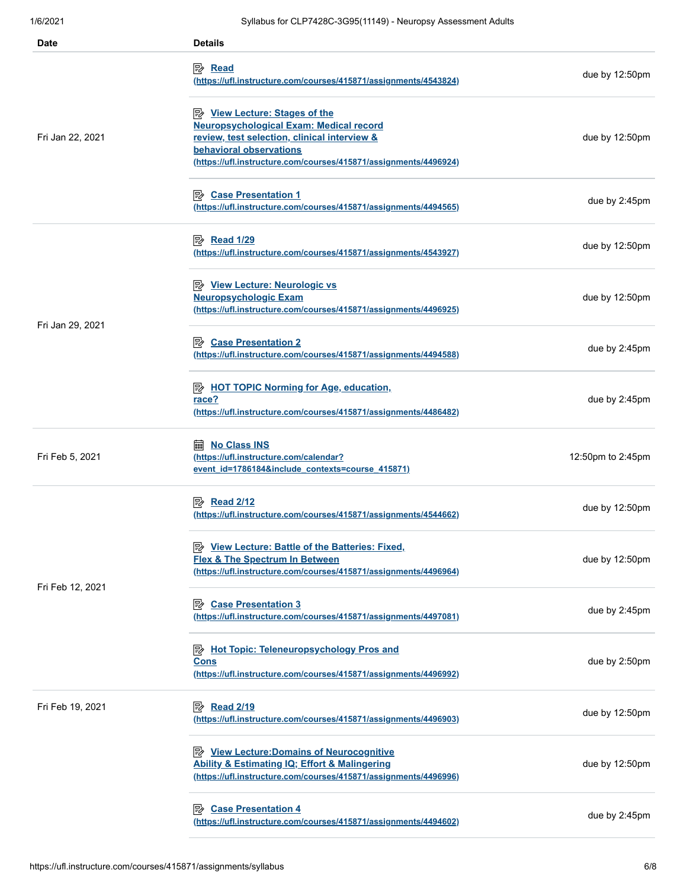| <b>Date</b>      | <b>Details</b>                                                                                                                                                                                                                               |                          |
|------------------|----------------------------------------------------------------------------------------------------------------------------------------------------------------------------------------------------------------------------------------------|--------------------------|
|                  | (https://ufl.instructure.com/courses/415871/assignments/4543824)                                                                                                                                                                             | due by 12:50pm           |
| Fri Jan 22, 2021 | <b>B</b> <u>View Lecture: Stages of the</u><br><b>Neuropsychological Exam: Medical record</b><br>review, test selection, clinical interview &<br>behavioral observations<br>(https://ufl.instructure.com/courses/415871/assignments/4496924) | due by 12:50pm           |
|                  | Ⅳ Case Presentation 1<br>(https://ufl.instructure.com/courses/415871/assignments/4494565)                                                                                                                                                    | due by 2:45pm            |
|                  | (https://ufl.instructure.com/courses/415871/assignments/4543927)                                                                                                                                                                             | due by 12:50pm           |
| Fri Jan 29, 2021 | <b>Neuropsychologic Exam</b><br>(https://ufl.instructure.com/courses/415871/assignments/4496925)                                                                                                                                             | due by $12:50 \text{pm}$ |
|                  | <b>B</b> Case Presentation 2<br>(https://ufl.instructure.com/courses/415871/assignments/4494588)                                                                                                                                             | due by 2:45pm            |
|                  | <b>E</b> HOT TOPIC Norming for Age, education,<br>race?<br>(https://ufl.instructure.com/courses/415871/assignments/4486482)                                                                                                                  | due by 2:45pm            |
| Fri Feb 5, 2021  | <b>No Class INS</b><br>酾<br>(https://ufl.instructure.com/calendar?<br>event id=1786184&include contexts=course 415871)                                                                                                                       | 12:50pm to 2:45pm        |
|                  | <i>Read 2/12</i><br>(https://ufl.instructure.com/courses/415871/assignments/4544662)                                                                                                                                                         | due by 12:50pm           |
| Fri Feb 12, 2021 | <b>B</b> View Lecture: Battle of the Batteries: Fixed,<br><b>Flex &amp; The Spectrum In Between</b><br>(https://ufl.instructure.com/courses/415871/assignments/4496964)                                                                      | due by 12:50pm           |
|                  | 駗<br><b>Case Presentation 3</b><br>(https://ufl.instructure.com/courses/415871/assignments/4497081)                                                                                                                                          | due by 2:45pm            |
|                  | Hot Topic: Teleneuropsychology Pros and<br><b>Cons</b><br>(https://ufl.instructure.com/courses/415871/assignments/4496992)                                                                                                                   | due by 2:50pm            |
| Fri Feb 19, 2021 | <i>Read 2/19</i><br>(https://ufl.instructure.com/courses/415871/assignments/4496903)                                                                                                                                                         | due by 12:50pm           |
|                  | <b>E</b> View Lecture: Domains of Neurocognitive<br><b>Ability &amp; Estimating IQ; Effort &amp; Malingering</b><br>(https://ufl.instructure.com/courses/415871/assignments/4496996)                                                         | due by 12:50pm           |
|                  | <b>Case Presentation 4</b><br>吟<br>(https://ufl.instructure.com/courses/415871/assignments/4494602)                                                                                                                                          | due by 2:45pm            |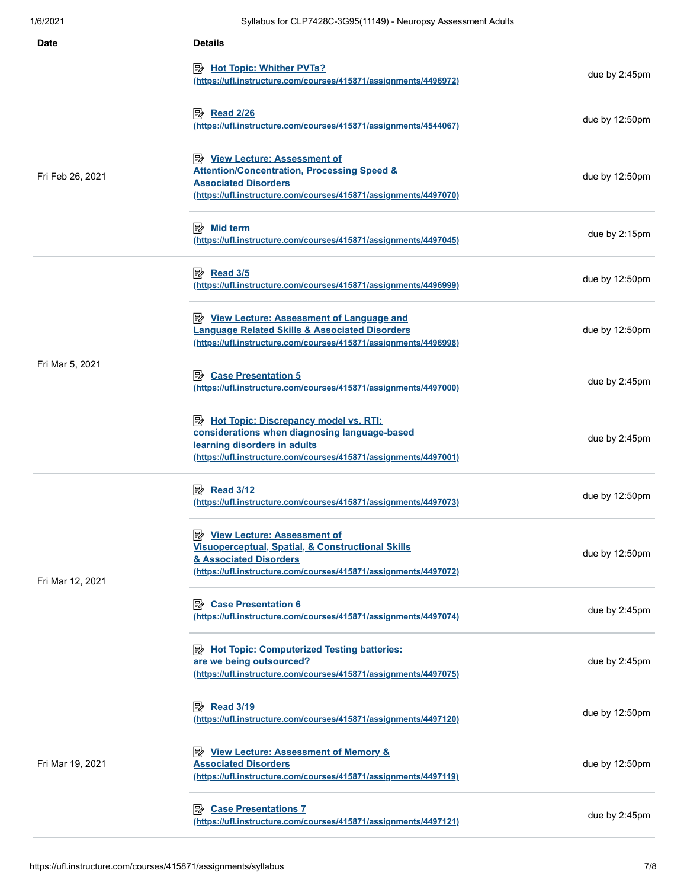| Date             | <b>Details</b>                                                                                                                                                                                           |                          |
|------------------|----------------------------------------------------------------------------------------------------------------------------------------------------------------------------------------------------------|--------------------------|
|                  | <b>B</b> Hot Topic: Whither PVTs?<br>(https://ufl.instructure.com/courses/415871/assignments/4496972)                                                                                                    | due by 2:45pm            |
|                  | <b>B</b> Read 2/26<br>(https://ufl.instructure.com/courses/415871/assignments/4544067)                                                                                                                   | due by 12:50pm           |
| Fri Feb 26, 2021 | <b>B</b> <u>View Lecture: Assessment of</u><br><b>Attention/Concentration, Processing Speed &amp;</b><br><b>Associated Disorders</b><br>(https://ufl.instructure.com/courses/415871/assignments/4497070) | due by $12:50 \text{pm}$ |
|                  | (https://ufl.instructure.com/courses/415871/assignments/4497045)                                                                                                                                         | due by 2:15pm            |
|                  | 图 Read 3/5<br>(https://ufl.instructure.com/courses/415871/assignments/4496999)                                                                                                                           | due by $12:50 \text{pm}$ |
|                  | <b>E</b> View Lecture: Assessment of Language and<br><b>Language Related Skills &amp; Associated Disorders</b><br>(https://ufl.instructure.com/courses/415871/assignments/4496998)                       | due by $12:50 \text{pm}$ |
| Fri Mar 5, 2021  | <b>B</b> Case Presentation 5<br>(https://ufl.instructure.com/courses/415871/assignments/4497000)                                                                                                         | due by 2:45pm            |
|                  | Hot Topic: Discrepancy model vs. RTI:<br>considerations when diagnosing language-based<br>learning disorders in adults<br>(https://ufl.instructure.com/courses/415871/assignments/4497001)               | due by 2:45pm            |
|                  | <i>Read 3/12</i><br>(https://ufl.instructure.com/courses/415871/assignments/4497073)                                                                                                                     | due by 12:50pm           |
| Fri Mar 12, 2021 | <b>E</b> View Lecture: Assessment of<br><b>Visuoperceptual, Spatial, &amp; Constructional Skills</b><br>& Associated Disorders<br>(https://ufl.instructure.com/courses/415871/assignments/4497072)       | due by 12:50pm           |
|                  | <b>B</b> Case Presentation 6<br>(https://ufl.instructure.com/courses/415871/assignments/4497074)                                                                                                         | due by 2:45pm            |
|                  | Hot Topic: Computerized Testing batteries:<br>are we being outsourced?<br>(https://ufl.instructure.com/courses/415871/assignments/4497075)                                                               | due by 2:45pm            |
| Fri Mar 19, 2021 | <b>B</b> Read 3/19<br>(https://ufl.instructure.com/courses/415871/assignments/4497120)                                                                                                                   | due by 12:50pm           |
|                  | <b>E</b> View Lecture: Assessment of Memory &<br><b>Associated Disorders</b><br>(https://ufl.instructure.com/courses/415871/assignments/4497119)                                                         | due by $12:50 \text{pm}$ |
|                  | <b>Case Presentations 7</b><br>零<br>(https://ufl.instructure.com/courses/415871/assignments/4497121)                                                                                                     | due by 2:45pm            |